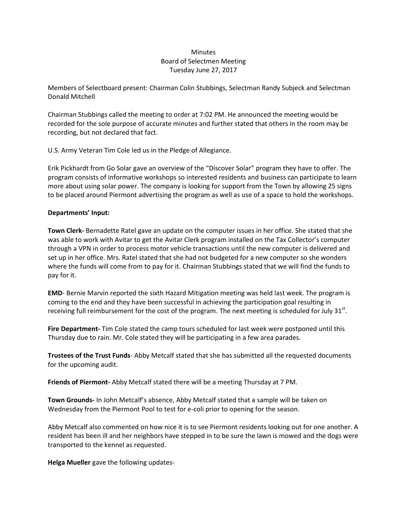## **Minutes** Board of Selectmen Meeting Tuesday June 27, 2017

Members of Selectboard present: Chairman Colin Stubbings, Selectman Randy Subjeck and Selectman Donald Mitchell

Chairman Stubbings called the meeting to order at 7:02 PM. He announced the meeting would be recorded for the sole purpose of accurate minutes and further stated that others in the room may be recording, but not declared that fact.

U.S. Army Veteran Tim Cole led us in the Pledge of Allegiance.

Erik Pickhardt from Go Solar gave an overview of the "Discover Solar" program they have to offer. The program consists of informative workshops so interested residents and business can participate to learn more about using solar power. The company is looking for support from the Town by allowing 25 signs to be placed around Piermont advertising the program as well as use of a space to hold the workshops.

## **Departments' Input:**

**Town Clerk-** Bernadette Ratel gave an update on the computer issues in her office. She stated that she was able to work with Avitar to get the Avitar Clerk program installed on the Tax Collector's computer through a VPN in order to process motor vehicle transactions until the new computer is delivered and set up in her office. Mrs. Ratel stated that she had not budgeted for a new computer so she wonders where the funds will come from to pay for it. Chairman Stubbings stated that we will find the funds to pay for it.

**EMD**- Bernie Marvin reported the sixth Hazard Mitigation meeting was held last week. The program is coming to the end and they have been successful in achieving the participation goal resulting in receiving full reimbursement for the cost of the program. The next meeting is scheduled for July 31st.

**Fire Department-** Tim Cole stated the camp tours scheduled for last week were postponed until this Thursday due to rain. Mr. Cole stated they will be participating in a few area parades.

**Trustees of the Trust Funds**- Abby Metcalf stated that she has submitted all the requested documents for the upcoming audit.

**Friends of Piermont-** Abby Metcalf stated there will be a meeting Thursday at 7 PM.

**Town Grounds-** In John Metcalf's absence, Abby Metcalf stated that a sample will be taken on Wednesday from the Piermont Pool to test for e-coli prior to opening for the season.

Abby Metcalf also commented on how nice it is to see Piermont residents looking out for one another. A resident has been ill and her neighbors have stepped in to be sure the lawn is mowed and the dogs were transported to the kennel as requested.

**Helga Mueller** gave the following updates-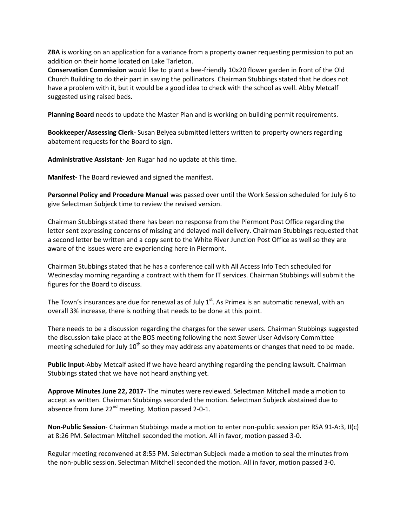**ZBA** is working on an application for a variance from a property owner requesting permission to put an addition on their home located on Lake Tarleton.

**Conservation Commission** would like to plant a bee-friendly 10x20 flower garden in front of the Old Church Building to do their part in saving the pollinators. Chairman Stubbings stated that he does not have a problem with it, but it would be a good idea to check with the school as well. Abby Metcalf suggested using raised beds.

**Planning Board** needs to update the Master Plan and is working on building permit requirements.

**Bookkeeper/Assessing Clerk-** Susan Belyea submitted letters written to property owners regarding abatement requests for the Board to sign.

**Administrative Assistant-** Jen Rugar had no update at this time.

**Manifest-** The Board reviewed and signed the manifest.

**Personnel Policy and Procedure Manual** was passed over until the Work Session scheduled for July 6 to give Selectman Subjeck time to review the revised version.

Chairman Stubbings stated there has been no response from the Piermont Post Office regarding the letter sent expressing concerns of missing and delayed mail delivery. Chairman Stubbings requested that a second letter be written and a copy sent to the White River Junction Post Office as well so they are aware of the issues were are experiencing here in Piermont.

Chairman Stubbings stated that he has a conference call with All Access Info Tech scheduled for Wednesday morning regarding a contract with them for IT services. Chairman Stubbings will submit the figures for the Board to discuss.

The Town's insurances are due for renewal as of July  $1<sup>st</sup>$ . As Primex is an automatic renewal, with an overall 3% increase, there is nothing that needs to be done at this point.

There needs to be a discussion regarding the charges for the sewer users. Chairman Stubbings suggested the discussion take place at the BOS meeting following the next Sewer User Advisory Committee meeting scheduled for July  $10<sup>th</sup>$  so they may address any abatements or changes that need to be made.

**Public Input-**Abby Metcalf asked if we have heard anything regarding the pending lawsuit. Chairman Stubbings stated that we have not heard anything yet.

**Approve Minutes June 22, 2017**- The minutes were reviewed. Selectman Mitchell made a motion to accept as written. Chairman Stubbings seconded the motion. Selectman Subjeck abstained due to absence from June  $22^{nd}$  meeting. Motion passed 2-0-1.

**Non-Public Session**- Chairman Stubbings made a motion to enter non-public session per RSA 91-A:3, II(c) at 8:26 PM. Selectman Mitchell seconded the motion. All in favor, motion passed 3-0.

Regular meeting reconvened at 8:55 PM. Selectman Subjeck made a motion to seal the minutes from the non-public session. Selectman Mitchell seconded the motion. All in favor, motion passed 3-0.